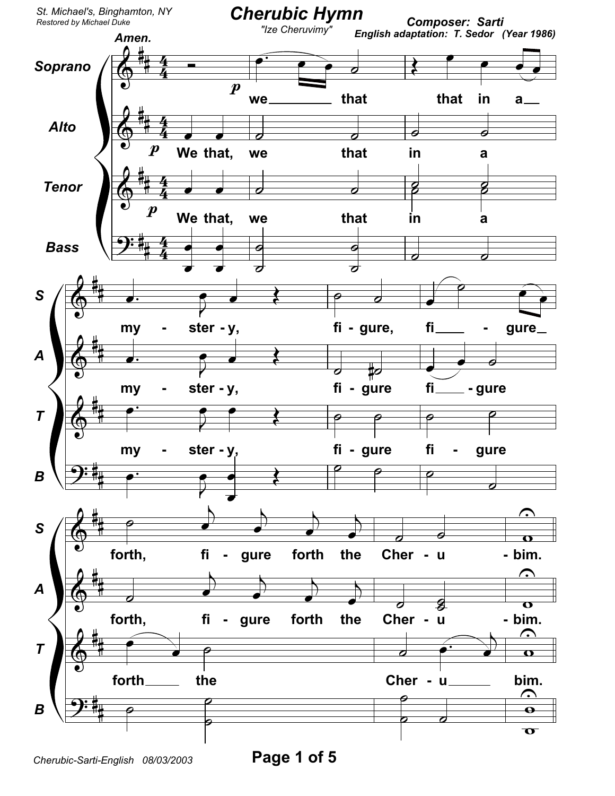

Cherubic-Sarti-English 08/03/2003

Page 1 of 5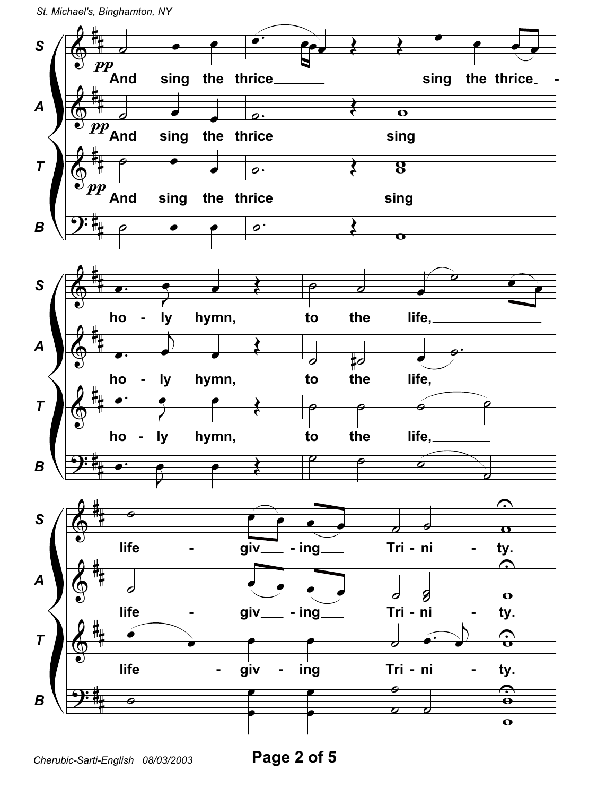

Cherubic-Sarti-English 08/03/2003

Page 2 of 5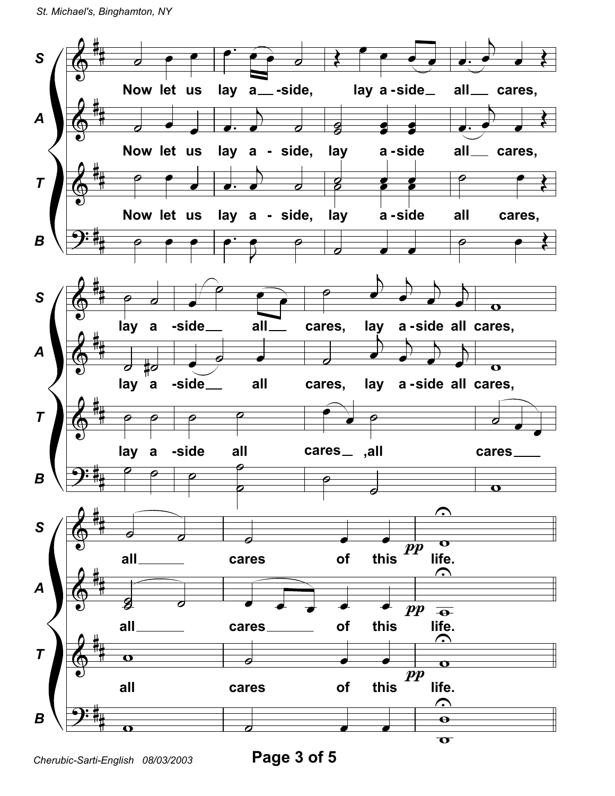

Page 3 of 5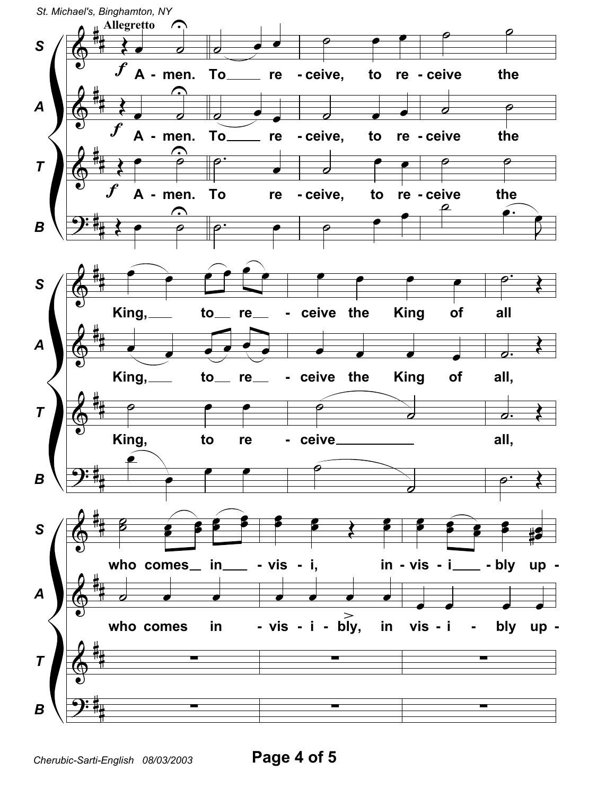